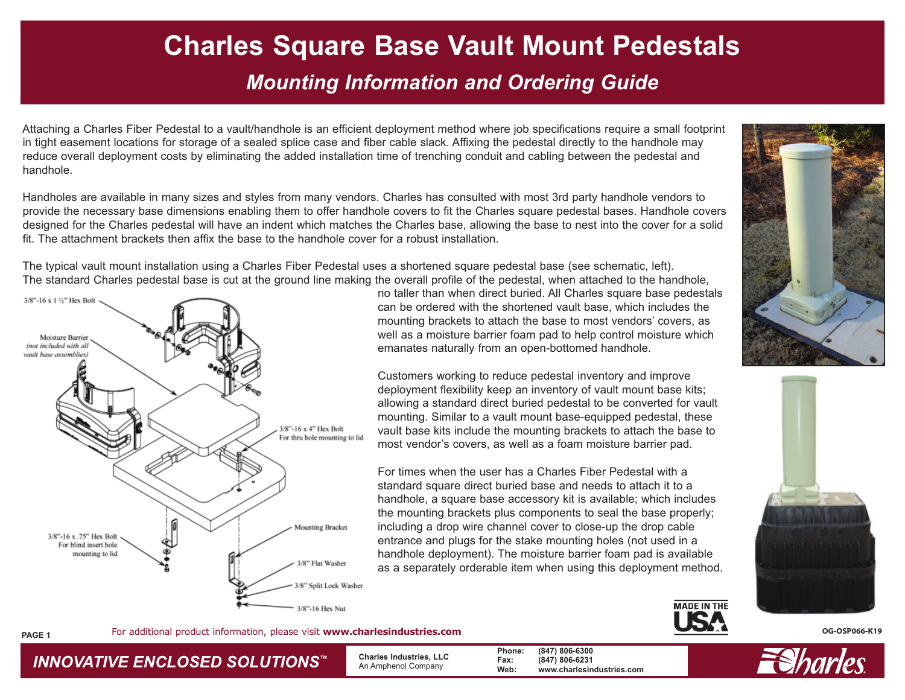## **Charles Square Base Vault Mount Pedestals**  *Mounting Information and Ordering Guide*

Attaching a Charles Fiber Pedestal to a vault/handhole is an efficient deployment method where job specifications require a small footprint in tight easement locations for storage of a sealed splice case and fiber cable slack. Affixing the pedestal directly to the handhole may reduce overall deployment costs by eliminating the added installation time of trenching conduit and cabling between the pedestal and handhole.

Handholes are available in many sizes and styles from many vendors. Charles has consulted with most 3rd party handhole vendors to provide the necessary base dimensions enabling them to offer handhole covers to fit the Charles square pedestal bases. Handhole covers designed for the Charles pedestal will have an indent which matches the Charles base, allowing the base to nest into the cover for a solid fit. The attachment brackets then affix the base to the handhole cover for a robust installation.

The typical vault mount installation using a Charles Fiber Pedestal uses a shortened square pedestal base (see schematic, left). The standard Charles pedestal base is cut at the ground line making the overall profile of the pedestal, when attached to the handhole,



*INNOVATIVE ENCLOSED SOLUTIONS ™*

no taller than when direct buried. All Charles square base pedestals can be ordered with the shortened vault base, which includes the mounting brackets to attach the base to most vendors' covers, as well as a moisture barrier foam pad to help control moisture which emanates naturally from an open-bottomed handhole.

Customers working to reduce pedestal inventory and improve deployment flexibility keep an inventory of vault mount base kits; allowing a standard direct buried pedestal to be converted for vault mounting. Similar to a vault mount base-equipped pedestal, these vault base kits include the mounting brackets to attach the base to most vendor's covers, as well as a foam moisture barrier pad.

For times when the user has a Charles Fiber Pedestal with a standard square direct buried base and needs to attach it to a handhole, a square base accessory kit is available; which includes the mounting brackets plus components to seal the base properly; including a drop wire channel cover to close-up the drop cable entrance and plugs for the stake mounting holes (not used in a handhole deployment). The moisture barrier foam pad is available as a separately orderable item when using this deployment method.







For additional product information, please visit www.charlesindustries.com **COSP066-K19 OG-OSP066-K19 PAGE 1** 

 **Charles Industries, LLC** An Amphenol Company

**Phone: (847) 806-6300 Fax: (847) 806-6231 Web: www.charlesindustries.com**